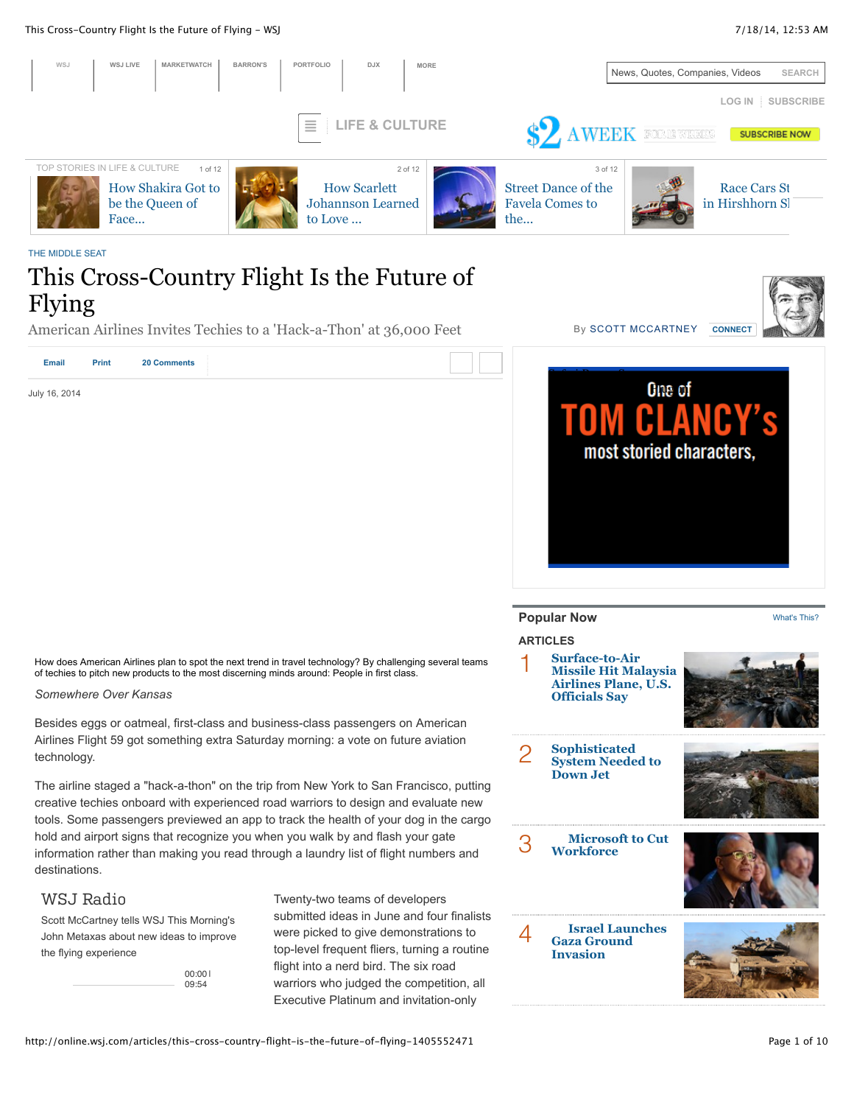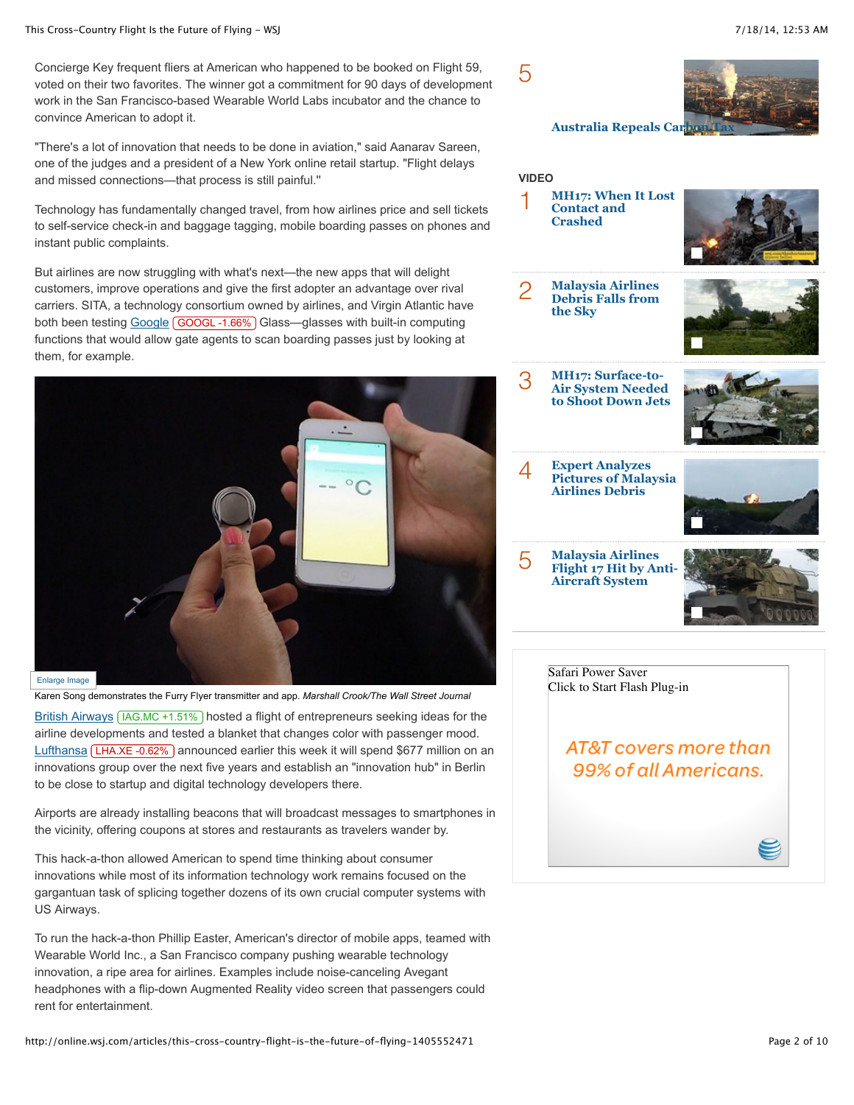Concierge Key frequent fliers at American who happened to be booked on Flight 59, voted on their two favorites. The winner got a commitment for 90 days of development work in the San Francisco-based Wearable World Labs incubator and the chance to convince American to adopt it.

["There](http://online.wsj.com/articles/this-cross-country-flight-is-the-future-of-flying-1405552471#)'[s a lot of innovation that needs to be done in aviation," said Aanarav Sareen,](http://online.wsj.com/articles/this-cross-country-flight-is-the-future-of-flying-1405552471#) one of the judges and a president of a New York online retail startup. "Flight delays and missed connections—that process is still painful.''

Technology has fundamentally changed travel, from how airlines price and sell tickets to self-service check-in and baggage tagging, mobile boarding passes on phones and instant public complaints.

But airlines are now struggling with what's next—the new apps that will delight customers, improve operations and give the first adopter an advantage over rival carriers. SITA, a technology consortium owned by airlines, and Virgin Atlantic have both been testing [Google](http://quotes.wsj.com/GOOGL) ([GOOGL -1.66%](http://quotes.wsj.com/GOOGL)) Glass—glasses with built-in computing [functions that would allow gate agents to scan boarding passes just by looking at](http://online.wsj.com/articles/this-cross-country-flight-is-the-future-of-flying-1405552471#) them, for example.



Karen Song demonstrates the Furry Flyer transmitter and app. *Marshall Crook/The Wall Street Journal*

[British Airways](http://quotes.wsj.com/ES/IAG) [[IAG.MC +1.51%](http://quotes.wsj.com/ES/IAG)] hosted a flight of entrepreneurs seeking ideas for the airline developments and tested a blanket that changes color with passenger mood. [Lufthansa](http://quotes.wsj.com/XE/LHA) ([LHA.XE -0.62%](http://quotes.wsj.com/XE/LHA)) announced earlier this week it will spend \$677 million on an innovations group over the next five years and establish an "innovation hub" in Berlin to be close to startup and digital technology developers there.

Airports are already installing beacons that will broadcast messages to smartphones in the vicinity, offering coupons at stores and restaurants as travelers wander by.

This hack-a-thon allowed American to spend time thinking about consumer innovations while most of its information technology work remains focused on the gargantuan task of splicing together dozens of its own crucial computer systems with US Airways.

To run the hack-a-thon Phillip Easter, American's director of mobile apps, teamed with Wearable World Inc., a San Francisco company pushing wearable technology innovation, a ripe area for airlines. Examples include noise-canceling Avegant headphones with a flip-down Augmented Reality video screen that passengers could rent for entertainment.



5

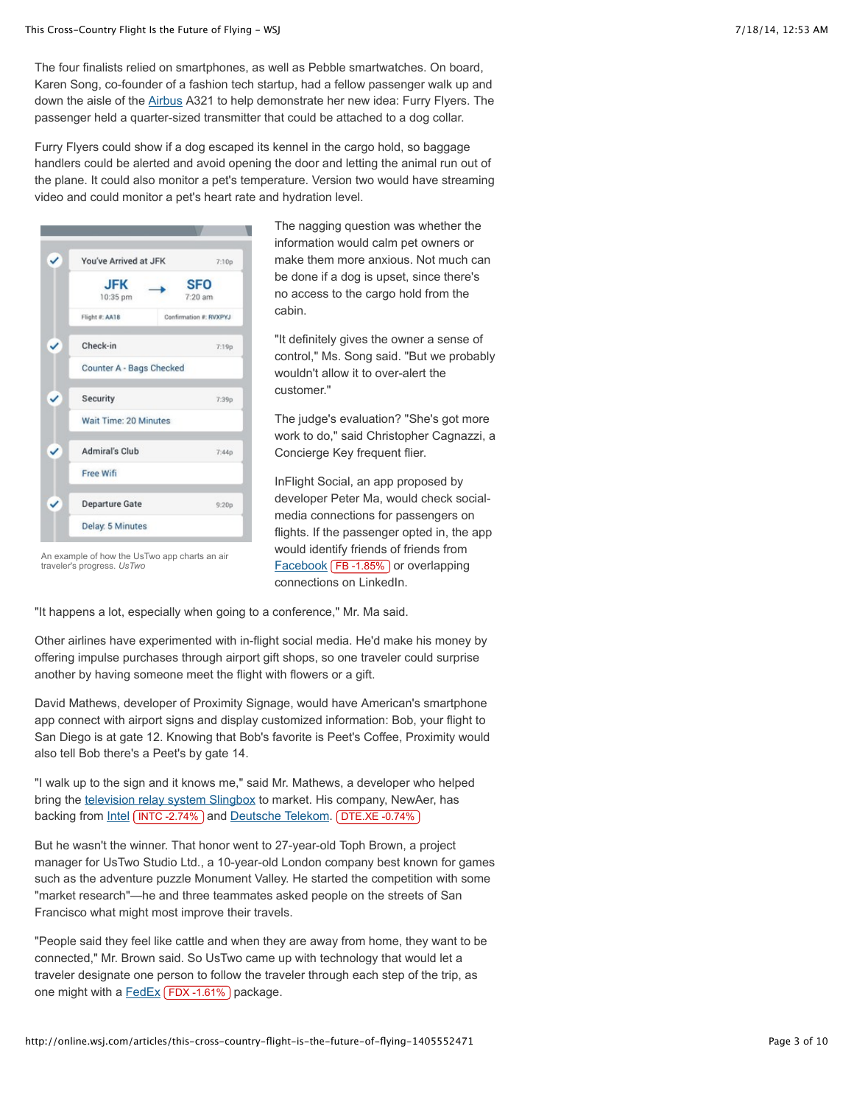Furry Flyers could show if a dog escaped its kennel in the cargo hold, so baggage handlers could be alerted and avoid opening the door and letting the animal run out of the plane. It could also monitor a pet's temperature. Version two would have streaming video and could monitor a pet's heart rate and hydration level.



The nagging question was whether the information would calm pet owners or make them more anxious. Not much can be done if a dog is upset, since there's no access to the cargo hold from the cabin.

"It definitely gives the owner a sense of control," Ms. Song said. "But we probably wouldn't allow it to over-alert the customer."

The judge's evaluation? "She's got more work to do," said Christopher Cagnazzi, a Concierge Key frequent flier.

InFlight Social, an app proposed by developer Peter Ma, would check socialmedia connections for passengers on flights. If the passenger opted in, the app would identify friends of friends from traveler's progress. *UsTwo* [Facebook](http://quotes.wsj.com/FB) ([FB -1.85%](http://quotes.wsj.com/FB)) or overlapping connections on LinkedIn.

"It happens a lot, especially when going to a conference," Mr. Ma said.

Other airlines have experimented with in-flight social media. He'd make his money by offering impulse purchases through airport gift shops, so one traveler could surprise another by having someone meet the flight with flowers or a gift.

David Mathews, developer of Proximity Signage, would have American's smartphone app connect with airport signs and display customized information: Bob, your flight to San Diego is at gate 12. Knowing that Bob's favorite is Peet's Coffee, Proximity would also tell Bob there's a Peet's by gate 14.

"I walk up to the sign and it knows me," said Mr. Mathews, a developer who helped bring the [television relay system Slingbox](http://online.wsj.com/articles/getting-rid-of-cable-tv-the-smartest-ways-to-cut-the-cord-1405472757) to market. His company, NewAer, has backing from **[Intel](http://quotes.wsj.com/INTC) ([INTC -2.74%](http://quotes.wsj.com/INTC))** and [Deutsche Telekom.](http://quotes.wsj.com/XE/DTE) [DTE.XE -0.74%](http://quotes.wsj.com/XE/DTE)

But he wasn't the winner. That honor went to 27-year-old Toph Brown, a project manager for UsTwo Studio Ltd., a 10-year-old London company best known for games such as the adventure puzzle Monument Valley. He started the competition with some "market research"—he and three teammates asked people on the streets of San Francisco what might most improve their travels.

"People said they feel like cattle and when they are away from home, they want to be connected," Mr. Brown said. So UsTwo came up with technology that would let a traveler designate one person to follow the traveler through each step of the trip, as one might with a **FedEx** ([FDX -1.61%](http://quotes.wsj.com/FDX)) package.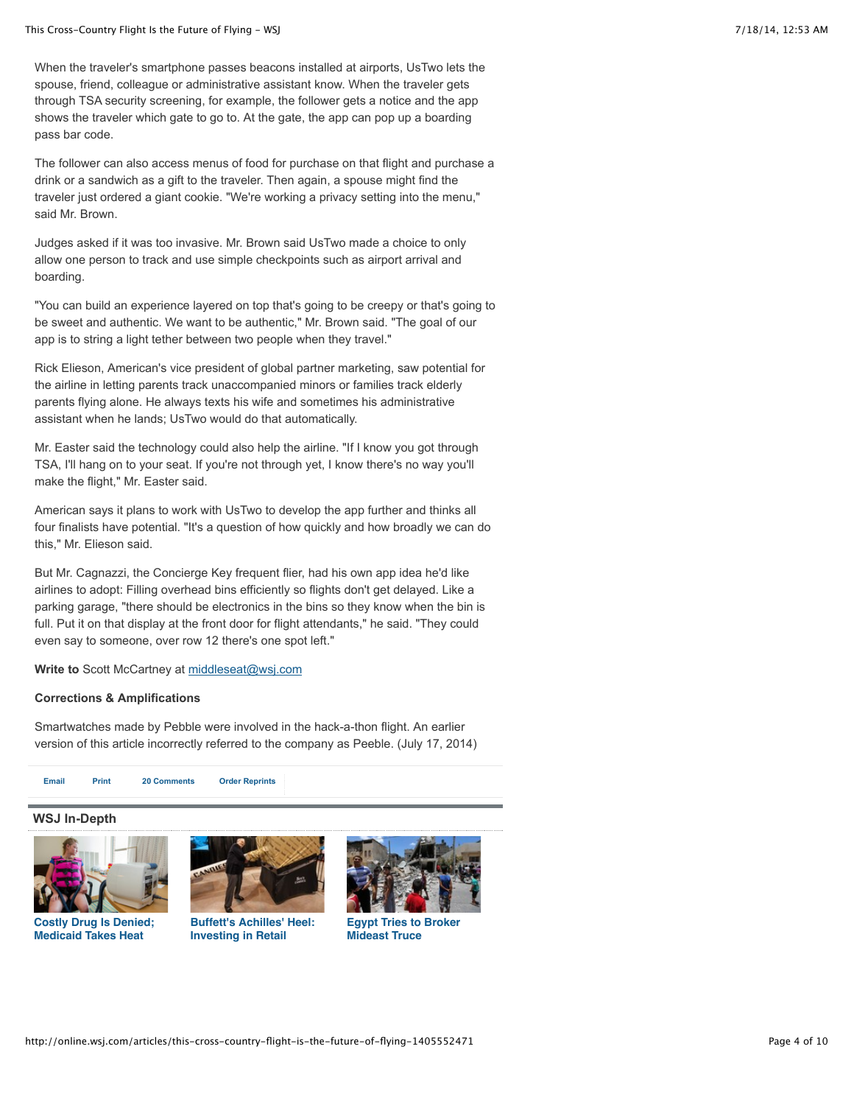When the traveler's smartphone passes beacons installed at airports, UsTwo lets the spouse, friend, colleague or administrative assistant know. When the traveler gets through TSA security screening, for example, the follower gets a notice and the app shows the traveler which gate to go to. At the gate, the app can pop up a boarding pass bar code.

The follower can also access menus of food for purchase on that flight and purchase a drink or a sandwich as a gift to the traveler. Then again, a spouse might find the traveler just ordered a giant cookie. "We're working a privacy setting into the menu," said Mr. Brown.

Judges asked if it was too invasive. Mr. Brown said UsTwo made a choice to only allow one person to track and use simple checkpoints such as airport arrival and boarding.

"You can build an experience layered on top that's going to be creepy or that's going to be sweet and authentic. We want to be authentic," Mr. Brown said. "The goal of our app is to string a light tether between two people when they travel."

Rick Elieson, American's vice president of global partner marketing, saw potential for the airline in letting parents track unaccompanied minors or families track elderly parents flying alone. He always texts his wife and sometimes his administrative assistant when he lands; UsTwo would do that automatically.

Mr. Easter said the technology could also help the airline. "If I know you got through TSA, I'll hang on to your seat. If you're not through yet, I know there's no way you'll make the flight," Mr. Easter said.

American says it plans to work with UsTwo to develop the app further and thinks all four finalists have potential. "It's a question of how quickly and how broadly we can do this," Mr. Elieson said.

But Mr. Cagnazzi, the Concierge Key frequent flier, had his own app idea he'd like airlines to adopt: Filling overhead bins efficiently so flights don't get delayed. Like a parking garage, "there should be electronics in the bins so they know when the bin is full. Put it on that display at the front door for flight attendants," he said. "They could even say to someone, over row 12 there's one spot left."

**Write to** Scott McCartney at [middleseat@wsj.com](mailto:middleseat@wsj.com)

## **Corrections & Amplifications**

Smartwatches made by Pebble were involved in the hack-a-thon flight. An earlier version of this article incorrectly referred to the company as Peeble. (July 17, 2014)

| Email | Print | <b>20 Comments</b> | <b>Order Reprints</b> |  |
|-------|-------|--------------------|-----------------------|--|
|-------|-------|--------------------|-----------------------|--|

## **[WSJ In-Depth](http://online.wsj.com/articles/this-cross-country-flight-is-the-future-of-flying-1405552471#)**



**[Costly Drug Is Denied;](http://online.wsj.com/articles/costly-drug-vertex-is-denied-and-medicaid-patients-sue-1405564205?mod=WSJ_article_EditorsPicks) Medicaid Takes Heat**



**[Buffett's Achilles' Heel:](http://online.wsj.com/articles/buffetts-achilles-heel-retail-investing-1405539148?mod=WSJ_article_EditorsPicks) Investing in Retail**



**[Egypt Tries to Broker](http://online.wsj.com/articles/israel-shoots-down-palestinian-drone-1405336514?mod=WSJ_article_EditorsPicks) Mideast Truce**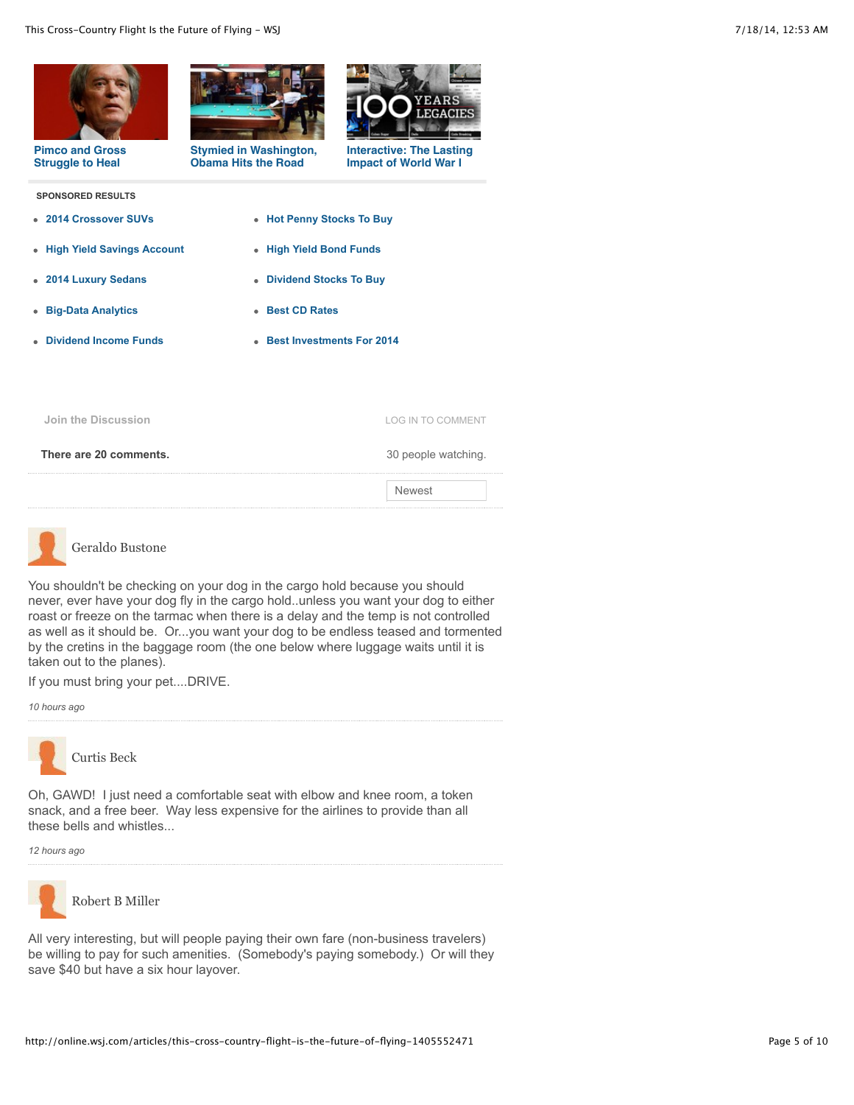

**[Pimco and Gross](http://online.wsj.com/articles/bond-giant-pimco-and-founder-bill-gross-struggle-to-heal-strains-1405392041?mod=WSJ_article_EditorsPicks) Struggle to Heal**

**SPONSORED RESULTS**

- 
- **[High Yield Savings Account](http://mm.chitika.net/track?xargs=3swTxvOU9JIdzZeSI2Lr43rBYd5pP4V03FTiYZTnamSwfL25Ayio%2FC%2BB2NotmBTgwv2yTNMzVgvPHcR%2BSrO6xZ6zwjfjgaxb3dNQf%2FuUxz8O%2BKm4bGTFYyK2X8QAsw46bPWkJURd9gMuXuWIw8yeFU%2BSm1d9VJmd6GALqxL4xGEYf3BtsJMwq2GOU0vHm%2FpXnbQa239nYhCxaAwsB2yEZ4p6Aj77X%2FINRaihnObKvatAJBm3m6%2Byo6HruXwZPQvW1CkZnH3G6XVUzXTpJzZoMp2I3pONwupd2FYSxso357Q0PU7m6%2BIQjORkaDBWa9iGgsszL1vGw1H%2FEc0Xut1Rp5oXsVv%2BVqvBRVpEpEzOPpotvLgpqUsR2SLYMMktrnrd9lrQQ3bAR%2FJfUKpjhkjpU5gmPMCyehqVMtkQSd1kjPrWLGcJ5O0S%2FPbxWnv8feWNdZUMRpBraJ3sDaVWSF8O1%2BYIeOOETN33LlqD7V2DRdKhCKA%2FE8BBXT%2BQt3waTEs76SU4I990kF4lHn3Nez84pSiX076t7XFAneSeXoxdAtduW1Guuo1GwyFHqeoi%2F7vVtIXOlin9iLzi%2Fi401KD8QwuA5eW4RhhvBOHrd11SVvi%2BzjVlltSBWSnJzaPteoiwVdSeY5fmUIUnKfedF13FeSAb%2FqTUfa5F4q6gG9tl3QM%3D&size_screen=1440x900&impsrc=getads&dpr=1&vsn=7.0&size_viewport=1324x718) [High Yield Bond Funds](http://mm.chitika.net/track?xargs=reP70n%2FYV8yPbZqWsWxXcNq8%2FV3EixfF6xBalYTtUy3RoQVBWKJzwlDa4HXNj4iGVX5fhDQurmfNLo0b5urDXN6wwdj4%2FCPUx7qxI3DcTQGr4%2FcnWooNgCTRlKt8qF7DqRkroVs1sULrO95L7Ycxd6R0GbnQpcHmAI2Qe0G4Oa9IKiztkK%2BoAeN3ElND%2B99C2BcuILkjpTIcnxndGCOMPEmRNH2lIM6daBBSiuaDu7d1YgXtqbMrI3UqhxOOF6pa%2F99gUjtjF5oqAJUKAD%2FIAsZDs2GH5%2BgTa40YPq5vcKbk5T0gA%2B2Hw0MpEJW4V6GN3omC9oYsFNjLo8h7WNL7IVF4tteVFXwioabM0CrQpFyco8Y0WwxY5hV%2BRe2Cw116ZewAFF22X9bATTtDu4pXNFHGbgSr2x%2BrNdP3T0g0lYB2Uh%2B%2By9dEb4%2FcBJpdx6eMkAAMRg1Pg47LZ8szQ1Sc07xwTu%2FKQ5rf7xO%2FlmlQO5qE457ZlLLk5QcY5zWgCrZmFUJQFv5H6ur8ENMInOb4SZplrpnEtx6S%2F%2BAPD5v6%2F3XP0aOwzqQL%2FSzsofyZWzVIyf7sO6cg%2FFQZHPoUXTlIxTejXyDzpEul7%2BkoQUXvrJ74Ny8660FLULvjn6Oh7eCWZp6rkDaaWVG9gkFia4x0Lp0b2b7u1PtM&size_screen=1440x900&impsrc=getads&dpr=1&vsn=7.0&size_viewport=1324x718)**
- 
- 
- 



**[Stymied in Washington,](http://online.wsj.com/articles/stymied-in-washington-president-obama-hits-the-road-1405373909?mod=WSJ_article_EditorsPicks) Obama Hits the Road**



**[Interactive: The Lasting](http://online.wsj.com/ww1/?mod=WSJ_article_EditorsPicks) Impact of World War I**

- **[2014 Crossover SUVs](http://mm.chitika.net/track?xargs=9atJf374lQGVEDPt8vL6bslg84WXzz%2Bas%2Fffy3uV3Cd918%2B%2FvQlyIuL77os2sIyTdbBjncCLw8PjjDIiFoeHGlL1hoAi7uKonC%2BUij1KXRfCbfaCNe0n21lAj9hxWn8rakkjzrMQ3mTV3jiD%2BousjlkwAL7iFhcxV1%2BdO%2BZEHGlfteopBVYAyKQly08Z930FVwxlB4hwJuFu5YDgAPTbgZ4ZBjWVcyfG05kGmZbpyXHtD0%2B0MA%2Bu%2FE%2FFGXosagtYqPogOJeGVEvuQyjfbYsaZW4OHGuWMOKP30SXA9PTQ2lo3WZ3M6vg4XPewaTYt8b9yGdrzKhAQW%2BkgORHfUczW5jYrWNmXRPo6eCG89vhMQjDNE87C3iMEuVQOitOhEkVYUtNGwmFSCHy1aNBPsu6Q3%2FFhtGFu2pik%2FawvWCj1Vtv2ifMAZiv052lvcjK7UXZlmMKItULlXfeg%2FqYunDslw5Bybo7pZWup4SnexEXI0vnflGRQwvkznYI6vUNWDs4gDlNR4bmZpv5yaXkyBR85USWFYHEszhpEM874qeO28wdBsNz0y4wd%2F6uz8H%2BlAfbIblpl5twhWSeyaWDC%2BHTerm5rrX4fNmP8krcvM31rSHh0HDtExDdtAva%2FMLB8niMGP1NNq7NRoythck3IH2WUIItOZ1a2G8X&size_screen=1440x900&impsrc=getads&dpr=1&vsn=7.0&size_viewport=1324x718) by Community Automobile Penny Stocks To Buy** 
	-
- **[2014 Luxury Sedans](http://mm.chitika.net/track?xargs=IMHWXWblFU5Gs1FhiTkZZ7c4lcgQRB3VfvaD48SosMEVeuAFS5N7PcucCRmpx45se7ORWqukAVW2tWbxtwR7E%2FXLM3DRkRc5HX2OBCHP8eYOMMp2R0T%2BsKgFFrJglt7qno9PTzi0Udy2uzgF4wSZx61xbjSxII0LLkYvhWLXKpZRtIXzuMk1za%2FE4cmy2Z6CYThG45SsW9wgBF%2BfWJquCjEsULYebJU8IjsTY1y3KQkYiaa%2BRg1wwJHqJVoXH7mUidWTCPdYwA%2Bt8qx4FilD8z45qwoH%2FkaTzJUju%2B1fcwyXrZRPfwr3TmnhtQG64M36DtJvoSbIo%2FLD5%2FBcquc30QCN5D0idNnZ88XFYPWQP6V%2FcGDiTb3vFkaq%2F%2FML63eBrwIkHD6fN9OuVGOAom%2Bu6FT8Dpdha3yzD0LJrijQH9BXiZxiNCXD1GF5cFjqdyoRS2Ls%2Frl5Y2Q8V2QStTeG8F6xTQBmyRfqFu0Z1pv0r3hc2SlNCunpQrx6exw1PDxcbuZGMzK47CCSBUW0281vQFyMwGB%2FnrT59iMl7XCu1Ndt4RJ8AcwFgWbf5bNps%2Fg1k9h1Sv%2FVX5eCtHOoBL%2B%2Fnr0Zhn7XvHJkBz%2FnfG3yiExx5nVExQNNE%2BQrk61OB3D71gh66Td0E5Tc5rCnebcyQW%2Fb58%2Fj7KEr&size_screen=1440x900&impsrc=getads&dpr=1&vsn=7.0&size_viewport=1324x718) by Community Sedans by [Dividend Stocks To Buy](http://mm.chitika.net/track?xargs=ev1Jw0dQhYvbbVGsCT1a6Fc4qZ2PmIUDooPyw0a%2FtUwfY46FnyKak3dy6TI%2BafjEvFrKZ1uMlpptF0YO5R27zTEh4dxpunx6tHWjNi7fkHGBgLuSBmBB48%2BQ6b0uhpKOYOFAFEY9omS%2BKpxwbCDPL%2B%2B8o1L38q6KxuCM%2FC%2F3zTYRikVP59x4KmTLnZDMpSvV%2F%2Bu%2F%2BEkUstu4uWhEwAC1MQvt%2FYrP03zAIAZZjzfqOKd5%2FcsXG5KasqjytH8dO6uG2JK2YYqY%2B5928O71AdWcB74wRhJXVY5NGx4dz%2FaIIKrLBlW0nYyaeWaHFP9tLIGoIOeFwO5uNp1hRl%2BB%2BmytFi%2BrpDs0W0%2FrzO4Wm%2FZ0j0tzl5ofrVLOQFWzipY8Td97m8ZnhJoHqko7Zes6QMkus66xsHz9WGYgsx%2F%2BKWbNwxz8xOHc%2F%2FODaE%2BbSzWePdl6AcEdoMB4hNOye9rtdZRzHlMz5keBy1iw3QfaY1ijtmUALJXkN4Nk8xurmrlbVu8nPCAk15afF5y9QTomorWg4u8uW64lVMrZNVruZm4XXJK%2BYTmvinbQ0d5vcjquvZL5RhXj8XRtMfOEONO7kZRqe31xlMvfhGBWCuJkddifxxxN9hQGW%2FDVjsYz%2Bbi7WsBCaOdRP6eBlAPidQid9rpukwySqqos56vdNgfEwBaoo5M%3D&size_screen=1440x900&impsrc=getads&dpr=1&vsn=7.0&size_viewport=1324x718)**
- **[Big-Data Analytics](http://mm.chitika.net/track?xargs=nXdBF2k5Zib3xgK8pdnu5TejY68X6DQr8aXM5skAjWaItOk1RwCirLyKOzTYpXE72Ff2ZD%2B0i0GyF36sf8H%2F2zuQxuz0zZ8dwrpgkyUBTGUTNHzxnvHmW9DWuoZEhVp7LYUJHdIF5s%2BmcTFmaII4G%2FkqemgosayUIaSRBLm45z5odXNP%2F%2F5mVlWnD404%2BvIJqvybts3AJZ8iJnpIHs1HKJpwHMIxlvWQsFpm47bzT8OeAOEeDvwfx4cnceibStcEB5DCrvPeDkvt00GXRbQ6%2BxQvUfkIOrqrTBdMrAEKkACSOIddzuYokRDZqSKrVkz6orMMNSM87KrpbdDE1TpVWtVuqJG%2F6lBRDxqsWJsB6dz%2Famu68Obu6PXesKtE1vVZSARqy%2B4TaINzoB%2FN1LtXicTKTifIOonZawgHc4b3AC8p4kZUrQFZRo59SZDcPC%2F0tBOOuhcdNMVhq1idly3qji2dt5R565WpkICdQOQZ1TDuUC8onmNDGhnUXDvnnVOawgtL0sv%2F4va9MMZ9KZbtiWA9wmvLznAVsiWJD5huAnccSD4EaA8Ox8r1wuFqhIgktS3feFnahOL6gqXCmfRYxvA7Aku4xilmAuWraKAIcT%2BH2ffW2H04b%2BR8l86Foi%2Fu4aKXz1F6Lobp840gLgvqWA%3D%3D&size_screen=1440x900&impsrc=getads&dpr=1&vsn=7.0&size_viewport=1324x718) [Best CD Rates](http://mm.chitika.net/track?xargs=5Bq0znQ1zikNTemZQZOgHUf9F5DV%2FfnqRGy8Cw9kwrD%2BOkd0jBjd%2Bk4hbrOqBAk2AHupx3ef7z6hu%2Bn7w0AijonfDuKEhSBzHMe7yXfmaAacKeeOJLznEmttBCYbKPBD4h1hfMTaBy8ZEPpNqH%2FPvC6sLpsnOWrPVBoJUVNt1%2B%2Bak4%2B7dyJxsNJi6GZjcjPPHUXbw0r16lXDQLb42Rf4JTV0KtAvBvhpbrms8dotrELyy3qugMGuDvnEqXR%2FOdn9ZPyDpKJ8h9uMx4pSLAN%2F4pDLUhucJqzd7UxfueuTKMz2n9%2F2TaH0i4W0ugXh1GuTQfJa5RdKbdWvwitFTMVudhaA0rGwGbyldn9drq1tdCXfCt%2ByP6BtGfpFPWQeaW7oN2ae9bf7ATyLpTorsrks8dSnzy0fBg%2ByEEf3dgmQRnb%2FZOrX%2BIhFLjYlHpf1JEA%2FCMk1KaS332BSAxtZD7%2BJF90KXiXRYLjd24dWNtcXH43F0eNwZPFQzAzLJRbSbNPH6A7FVK9Jhgv6pXCQzYBqak69XcGX2p%2FMeKshwKstsWgdJve3%2BE3fK7i8ZDIDRk%2FPOG2WD1sOr%2FOUxe2a6qKtHvwe0ExOEzqe6pNo%2FafeQxxiKKy7YmXr5kox4cVzxMmGHvkfk%2FkhUmexMLaAQ6Y0qA%3D%3D&size_screen=1440x900&impsrc=getads&dpr=1&vsn=7.0&size_viewport=1324x718)**
- **[Dividend Income Funds](http://mm.chitika.net/track?xargs=K2K%2BgzFP4bmPReMAz%2FPUkpbXkTqshSE6ud%2B22xTPLCkgl6lOWxygsJN6pMLeqNbHNv7kBYXf9Fcj6tibicsTxhU9ZT4t%2Bpxlp8DEPn8GFJjqPjMyHj5sxB9aDeNlgmin2xnHoQC7M4FXEQBpZMc%2FUpV0rrKG4AQDziKq1HoMb3FNULkk%2BCDZzZAqMNfy9F1Xr0mkrOmOKEAid4Mzq2swB%2Bke%2BxtDikEAI7lRaIQQtMRnoBcEZdJf1%2BwWE%2B3KNKBpDdKs2NMldkQmfkRZ1%2BfyXhHR%2FhqcexAleHa%2FNv%2FxkUrBieL4WGYBuNTBABVrqM5ROY5OPD73lWQ9YzRazoFTB20TCON7RZ4TLmakofVUYGrLnTSoB%2B6YHdmCJ73eCwxOhpBc1Uq2TvkA5X%2FDjnZG2ExqGyZh0ST9%2BDps7kUFZkv0XXwVw5ZU4%2FOvfdzTtb5w9NEZtMnuMM9dBEvLaxqLzSH78ZfzTzg0nJKQDaszNwrBrx%2BNU2moSqLpzNgFjkT%2BzrtDo4Bho0JBBEK%2Fdj3zkEv2e91mEQeua9iApZuBWg2aWYB81jasRfkqqOH4GQ3yItjL%2FX3jtrSF3pMlR45WQaJg2PAu8eH2XfW%2FBICnnaYHJs9LwV8ZDk0GV1I926T2xahOKbtDR9BKI9RQuCX7VEGP6biACzjV&size_screen=1440x900&impsrc=getads&dpr=1&vsn=7.0&size_viewport=1324x718) [Best Investments For 2014](http://mm.chitika.net/track?xargs=D1gFhX%2FCqk99k2Yt9FasdEUjQ5a0llAz2PfvQvnD%2FGXxvCR2kbN08ZoD5BayARZNhF8T7fSK8%2FWoRfaWdgLSzunEA4N8TZyiytuqmtJRBVMTGJ%2BawohehUB9LtAwzoAoy%2Fh6e3RHrsz8iA2LwNULOWUp8PnrSewF4HDb10zV%2Bhqhiei7u%2BILzgGCPjc6vg4G9ujCM4LJnwWF%2Fav07NCJIjcYRea1zUDz%2FNW2hBZniWLnMras5bQqJgj2VI0H%2FFjtwtt3LRxN1BZtFW3QDygMwnDKkgPrjjQPoXLir2qDi0gRUutkpELVjCM6eFn4lDaIiliSM8giKzLpVLNkQa8mPYEnS363mt2JrbG%2Fk3xMYq9LyhH0c4JZeHfLSWPgubMO28Y9oTdZHbwzZn5wTiVjzQxDi36UVZ%2Bt76LPCPIa%2F3J0pdvReKtpiI1ISFhIaEh11r%2FBLEnPtHUh1M68s98CQgDbbBD0h%2BmERBcZd8v1O6wJNrN59ATY1ier%2B2OrTjhG%2FJemwWv8bbYEHOyJArCBcMjRftMw7cwlvq5UZlIbpgnl4m%2BL89EBp3R6txDhLs1cN285J0Kja5iCqm1eXj6m9OLoncO0BhzVBA1%2FJfFIZaRPZYpIctYeCaGR6r2JFMgr2wnxh1sIwKjKrHdIhCemz2CoMgsSkj2yRM8YTfDvktc%3D&size_screen=1440x900&impsrc=getads&dpr=1&vsn=7.0&size_viewport=1324x718)**

**Join the Discussion [LOG IN TO COMMENT](https://id.wsj.com/access/509b1a086458232f6e000002/latest/login_standalone.html?url=http%3A%2F%2Fonline.wsj.com%2Farticles%2Fthis-cross-country-flight-is-the-future-of-flying-1405552471)** 

**There are 20 comments.**

30 people watching.

Newest



[Geraldo Bustone](http://online.wsj.com/user/profile/public/3e414555-e0ed-4d96-9411-f7b3133ca5cb)

You shouldn't be checking on your dog in the cargo hold because you should never, ever have your dog fly in the cargo hold..unless you want your dog to either roast or freeze on the tarmac when there is a delay and the temp is not controlled as well as it should be. Or...you want your dog to be endless teased and tormented by the cretins in the baggage room (the one below where luggage waits until it is taken out to the planes).

If you must bring your pet....DRIVE.

*10 hours ago*



Oh, GAWD! I just need a comfortable seat with elbow and knee room, a token snack, and a free beer. Way less expensive for the airlines to provide than all these bells and whistles...

*12 hours ago*



All very interesting, but will people paying their own fare (non-business travelers) be willing to pay for such amenities. (Somebody's paying somebody.) Or will they save \$40 but have a six hour layover.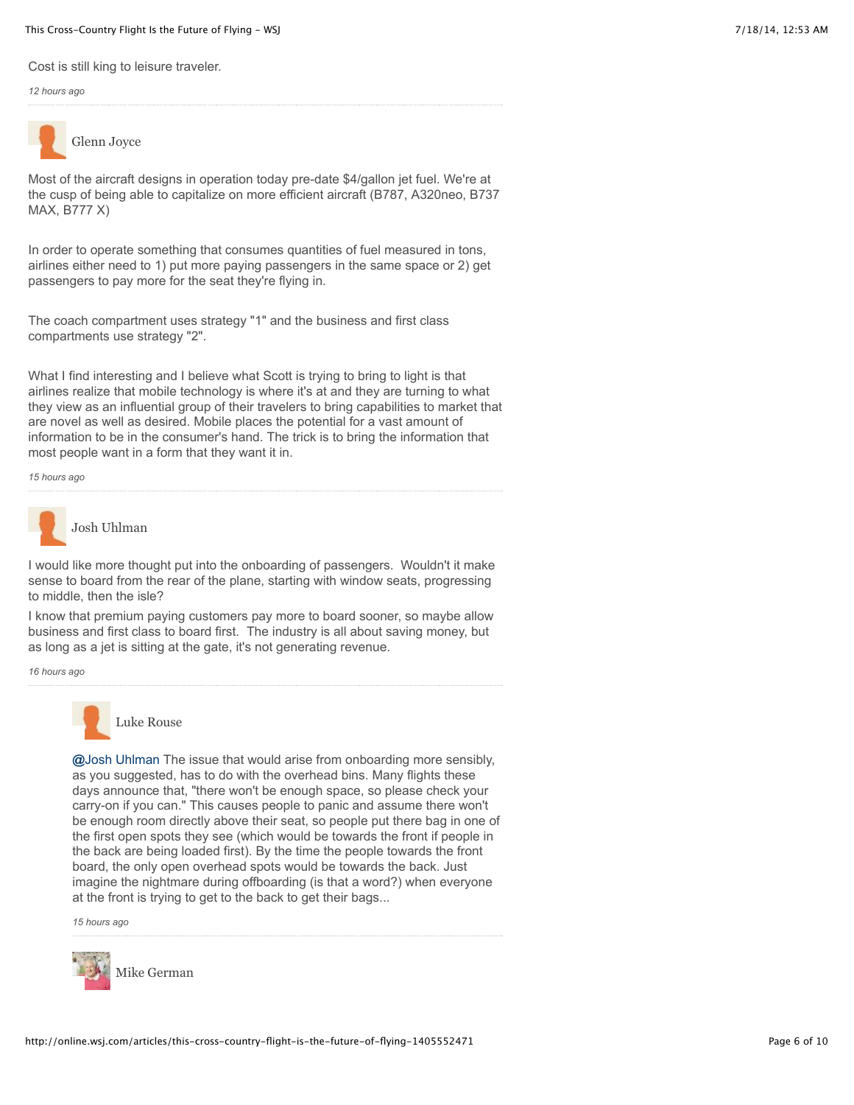Cost is still king to leisure traveler.

*12 hours ago*



[Glenn Joyce](http://online.wsj.com/user/profile/public/glennj)

Most of the aircraft designs in operation today pre-date \$4/gallon jet fuel. We're at the cusp of being able to capitalize on more efficient aircraft (B787, A320neo, B737 MAX, B777 X)

In order to operate something that consumes quantities of fuel measured in tons, airlines either need to 1) put more paying passengers in the same space or 2) get passengers to pay more for the seat they're flying in.

The coach compartment uses strategy "1" and the business and first class compartments use strategy "2".

What I find interesting and I believe what Scott is trying to bring to light is that airlines realize that mobile technology is where it's at and they are turning to what they view as an influential group of their travelers to bring capabilities to market that are novel as well as desired. Mobile places the potential for a vast amount of information to be in the consumer's hand. The trick is to bring the information that most people want in a form that they want it in.

*15 hours ago*



[Josh Uhlman](http://online.wsj.com/user/profile/public/8fffdd53-6fb4-4c7b-b20f-b9d649ac0e84)

I would like more thought put into the onboarding of passengers. Wouldn't it make sense to board from the rear of the plane, starting with window seats, progressing to middle, then the isle?

I know that premium paying customers pay more to board sooner, so maybe allow business and first class to board first. The industry is all about saving money, but as long as a jet is sitting at the gate, it's not generating revenue.

*16 hours ago*



[Luke Rouse](http://online.wsj.com/user/profile/public/eef0d5ec-1dd9-46d6-983a-d2e0f31651a8)

**@**[Josh Uhlman](http://online.wsj.com/user/profile/public/8fffdd53-6fb4-4c7b-b20f-b9d649ac0e84) The issue that would arise from onboarding more sensibly, as you suggested, has to do with the overhead bins. Many flights these days announce that, "there won't be enough space, so please check your carry-on if you can." This causes people to panic and assume there won't be enough room directly above their seat, so people put there bag in one of the first open spots they see (which would be towards the front if people in the back are being loaded first). By the time the people towards the front board, the only open overhead spots would be towards the back. Just imagine the nightmare during offboarding (is that a word?) when everyone at the front is trying to get to the back to get their bags...

*15 hours ago*

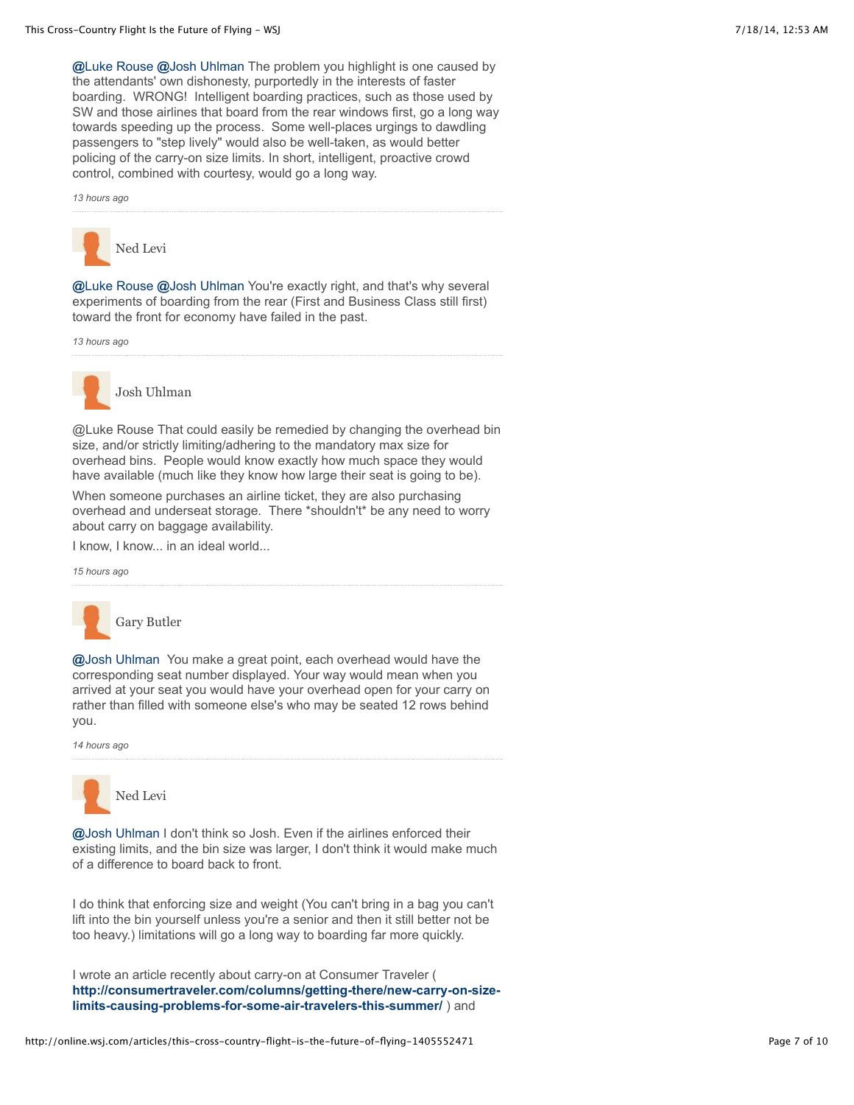**@**[Luke Rouse](http://online.wsj.com/user/profile/public/eef0d5ec-1dd9-46d6-983a-d2e0f31651a8) **@**[Josh Uhlman](http://online.wsj.com/user/profile/public/8fffdd53-6fb4-4c7b-b20f-b9d649ac0e84) The problem you highlight is one caused by the attendants' own dishonesty, purportedly in the interests of faster boarding. WRONG! Intelligent boarding practices, such as those used by SW and those airlines that board from the rear windows first, go a long way towards speeding up the process. Some well-places urgings to dawdling passengers to "step lively" would also be well-taken, as would better policing of the carry-on size limits. In short, intelligent, proactive crowd control, combined with courtesy, would go a long way.

*13 hours ago*



**@**[Luke Rouse](http://online.wsj.com/user/profile/public/eef0d5ec-1dd9-46d6-983a-d2e0f31651a8) **@**[Josh Uhlman](http://online.wsj.com/user/profile/public/8fffdd53-6fb4-4c7b-b20f-b9d649ac0e84) You're exactly right, and that's why several experiments of boarding from the rear (First and Business Class still first) toward the front for economy have failed in the past.

*13 hours ago*



@Luke Rouse That could easily be remedied by changing the overhead bin size, and/or strictly limiting/adhering to the mandatory max size for

overhead bins. People would know exactly how much space they would have available (much like they know how large their seat is going to be).

When someone purchases an airline ticket, they are also purchasing overhead and underseat storage. There \*shouldn't\* be any need to worry about carry on baggage availability.

I know, I know... in an ideal world...

*15 hours ago*



**@**[Josh Uhlman](http://online.wsj.com/user/profile/public/8fffdd53-6fb4-4c7b-b20f-b9d649ac0e84) You make a great point, each overhead would have the corresponding seat number displayed. Your way would mean when you arrived at your seat you would have your overhead open for your carry on rather than filled with someone else's who may be seated 12 rows behind you.

*14 hours ago*



**@**[Josh Uhlman](http://online.wsj.com/user/profile/public/8fffdd53-6fb4-4c7b-b20f-b9d649ac0e84) I don't think so Josh. Even if the airlines enforced their existing limits, and the bin size was larger, I don't think it would make much of a difference to board back to front.

I do think that enforcing size and weight (You can't bring in a bag you can't lift into the bin yourself unless you're a senior and then it still better not be too heavy.) limitations will go a long way to boarding far more quickly.

I wrote an article recently about carry-on at Consumer Traveler ( **[http://consumertraveler.com/columns/getting-there/new-carry-on-size](http://consumertraveler.com/columns/getting-there/new-carry-on-size-limits-causing-problems-for-some-air-travelers-this-summer/)limits-causing-problems-for-some-air-travelers-this-summer/** ) and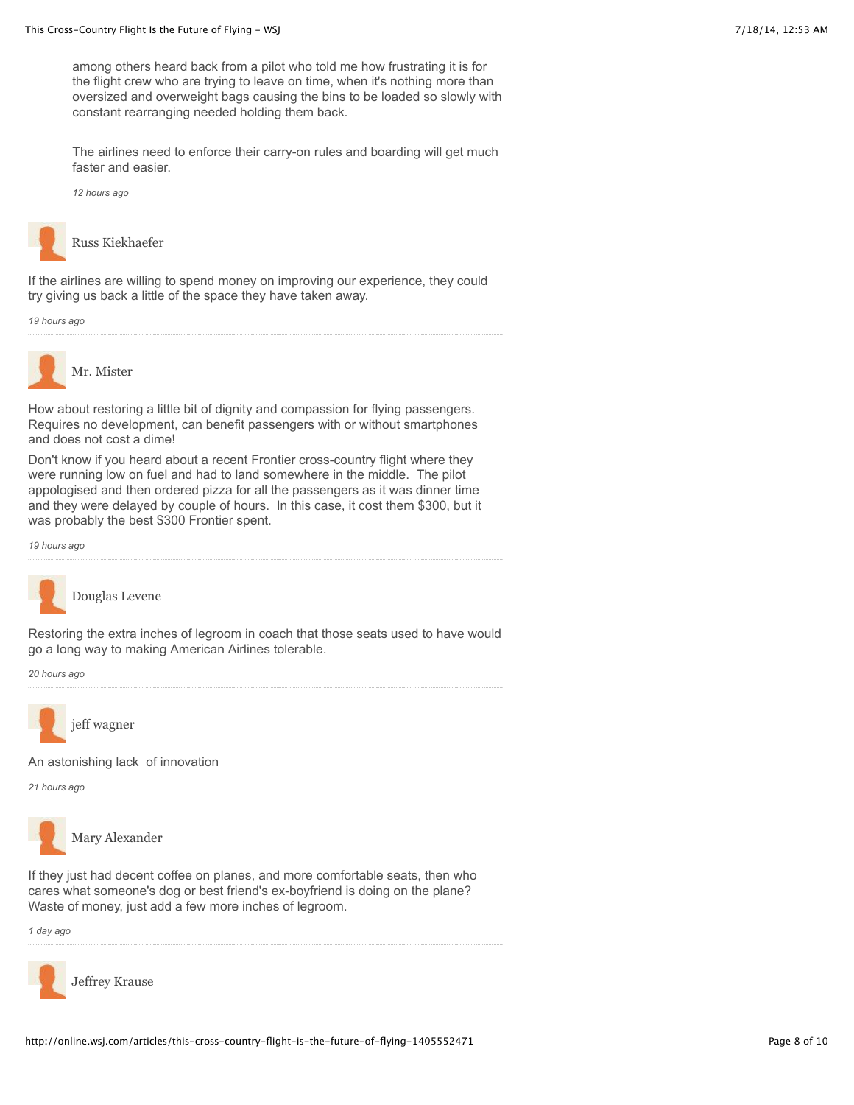among others heard back from a pilot who told me how frustrating it is for the flight crew who are trying to leave on time, when it's nothing more than oversized and overweight bags causing the bins to be loaded so slowly with constant rearranging needed holding them back.

The airlines need to enforce their carry-on rules and boarding will get much faster and easier.

*12 hours ago*



[Russ Kiekhaefer](http://online.wsj.com/user/profile/public/kiekhaefer)

If the airlines are willing to spend money on improving our experience, they could try giving us back a little of the space they have taken away.

*19 hours ago*



How about restoring a little bit of dignity and compassion for flying passengers. Requires no development, can benefit passengers with or without smartphones and does not cost a dime!

Don't know if you heard about a recent Frontier cross-country flight where they were running low on fuel and had to land somewhere in the middle. The pilot appologised and then ordered pizza for all the passengers as it was dinner time and they were delayed by couple of hours. In this case, it cost them \$300, but it was probably the best \$300 Frontier spent.

*19 hours ago*



[Douglas Levene](http://online.wsj.com/user/profile/public/792d8dd6-26e6-4e44-85e4-d0780f52fd27)

Restoring the extra inches of legroom in coach that those seats used to have would go a long way to making American Airlines tolerable.

*20 hours ago*



[jeff wagner](http://online.wsj.com/user/profile/public/jwagner42001)

An astonishing lack of innovation

*21 hours ago*



[Mary Alexander](http://online.wsj.com/user/profile/public/8718f5fe-44fd-405c-920f-fbae92da1b83)

If they just had decent coffee on planes, and more comfortable seats, then who cares what someone's dog or best friend's ex-boyfriend is doing on the plane? Waste of money, just add a few more inches of legroom.

*1 day ago*

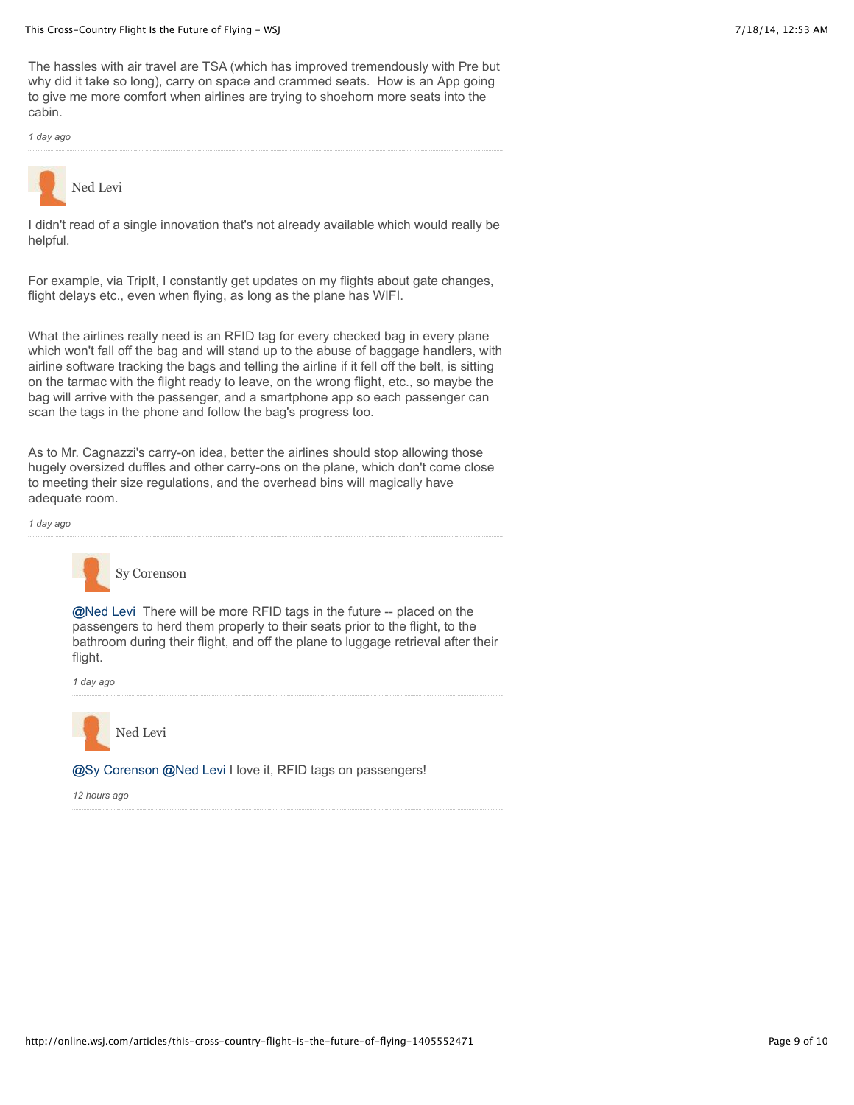The hassles with air travel are TSA (which has improved tremendously with Pre but why did it take so long), carry on space and crammed seats. How is an App going to give me more comfort when airlines are trying to shoehorn more seats into the cabin.

*1 day ago*



I didn't read of a single innovation that's not already available which would really be helpful.

For example, via TripIt, I constantly get updates on my flights about gate changes, flight delays etc., even when flying, as long as the plane has WIFI.

What the airlines really need is an RFID tag for every checked bag in every plane which won't fall off the bag and will stand up to the abuse of baggage handlers, with airline software tracking the bags and telling the airline if it fell off the belt, is sitting on the tarmac with the flight ready to leave, on the wrong flight, etc., so maybe the bag will arrive with the passenger, and a smartphone app so each passenger can scan the tags in the phone and follow the bag's progress too.

As to Mr. Cagnazzi's carry-on idea, better the airlines should stop allowing those hugely oversized duffles and other carry-ons on the plane, which don't come close to meeting their size regulations, and the overhead bins will magically have adequate room.

*1 day ago*



**@**[Ned Levi](http://online.wsj.com/user/profile/public/NedLevi) There will be more RFID tags in the future -- placed on the passengers to herd them properly to their seats prior to the flight, to the bathroom during their flight, and off the plane to luggage retrieval after their flight.

*1 day ago*



**@**[Sy Corenson](http://online.wsj.com/user/profile/public/Corenson) **@**[Ned Levi](http://online.wsj.com/user/profile/public/NedLevi) I love it, RFID tags on passengers!

*12 hours ago*